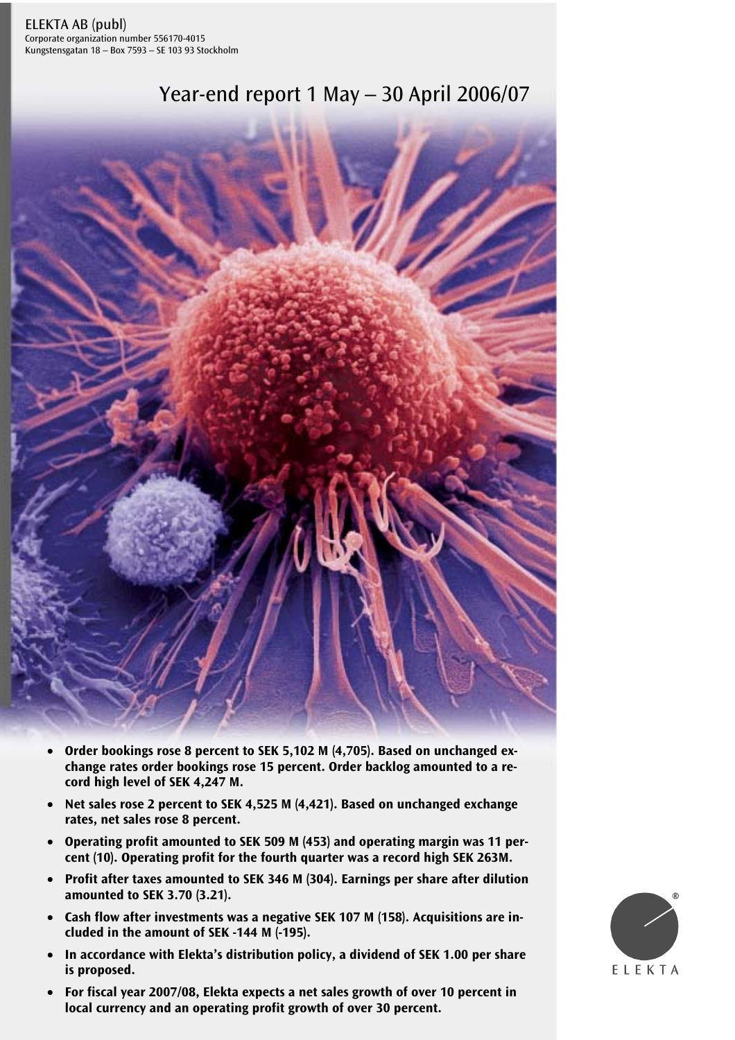Corporate organization number 556170-4015 Kungstensgatan 18 – Box 7593 – SE 103 93 Stockholm





- **Order bookings rose 8 percent to SEK 5,102 M (4,705). Based on unchanged exchange rates order bookings rose 15 percent. Order backlog amounted to a record high level of SEK 4,247 M.**
- **Net sales rose 2 percent to SEK 4,525 M (4,421). Based on unchanged exchange rates, net sales rose 8 percent.**
- **Operating profit amounted to SEK 509 M (453) and operating margin was 11 percent (10). Operating profit for the fourth quarter was a record high SEK 263M.**
- **Profit after taxes amounted to SEK 346 M (304). Earnings per share after dilution amounted to SEK 3.70 (3.21).**
- **Cash flow after investments was a negative SEK 107 M (158). Acquisitions are included in the amount of SEK -144 M (-195).**
- **In accordance with Elekta's distribution policy, a dividend of SEK 1.00 per share is proposed.**
- For fiscal year 2007/08, Elekta expects a net sales growth of over 10 percent in **local currency and an operating profit growth of over 30 percent.**

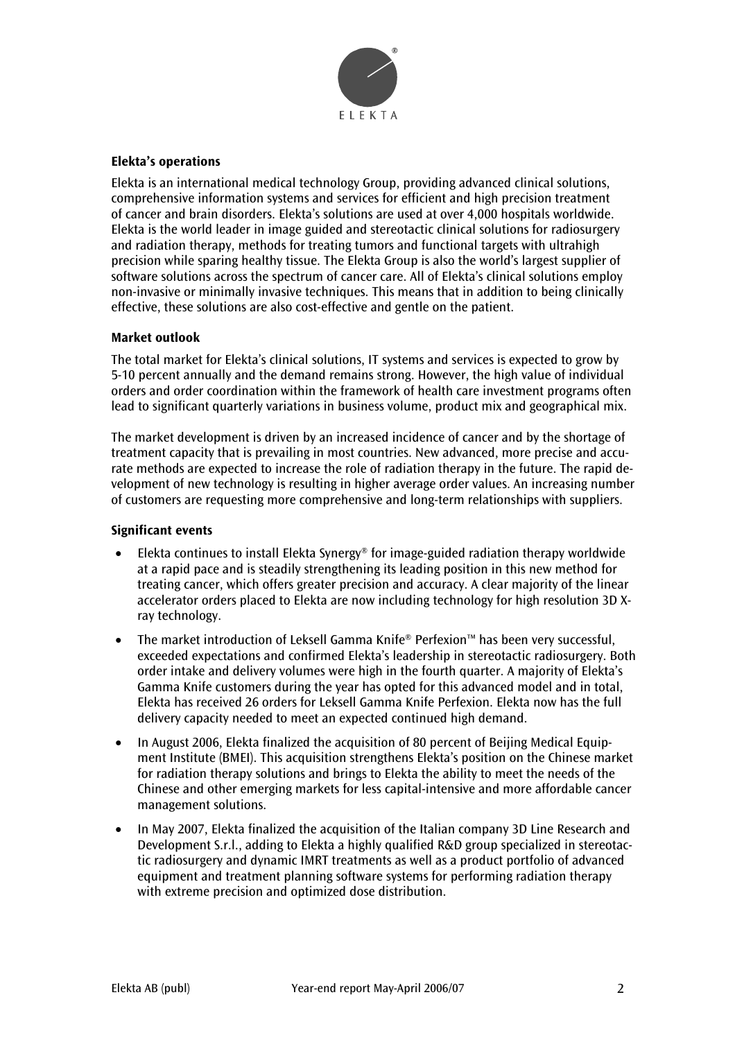

## **Elekta's operations**

Elekta is an international medical technology Group, providing advanced clinical solutions, comprehensive information systems and services for efficient and high precision treatment of cancer and brain disorders. Elekta's solutions are used at over 4,000 hospitals worldwide. Elekta is the world leader in image guided and stereotactic clinical solutions for radiosurgery and radiation therapy, methods for treating tumors and functional targets with ultrahigh precision while sparing healthy tissue. The Elekta Group is also the world's largest supplier of software solutions across the spectrum of cancer care. All of Elekta's clinical solutions employ non-invasive or minimally invasive techniques. This means that in addition to being clinically effective, these solutions are also cost-effective and gentle on the patient.

## **Market outlook**

The total market for Elekta's clinical solutions, IT systems and services is expected to grow by 5-10 percent annually and the demand remains strong. However, the high value of individual orders and order coordination within the framework of health care investment programs often lead to significant quarterly variations in business volume, product mix and geographical mix.

The market development is driven by an increased incidence of cancer and by the shortage of treatment capacity that is prevailing in most countries. New advanced, more precise and accurate methods are expected to increase the role of radiation therapy in the future. The rapid development of new technology is resulting in higher average order values. An increasing number of customers are requesting more comprehensive and long-term relationships with suppliers.

## **Significant events**

- Elekta continues to install Elekta Synergy® for image-guided radiation therapy worldwide at a rapid pace and is steadily strengthening its leading position in this new method for treating cancer, which offers greater precision and accuracy. A clear majority of the linear accelerator orders placed to Elekta are now including technology for high resolution 3D Xray technology.
- The market introduction of Leksell Gamma Knife® Perfexion™ has been very successful, exceeded expectations and confirmed Elekta's leadership in stereotactic radiosurgery. Both order intake and delivery volumes were high in the fourth quarter. A majority of Elekta's Gamma Knife customers during the year has opted for this advanced model and in total, Elekta has received 26 orders for Leksell Gamma Knife Perfexion. Elekta now has the full delivery capacity needed to meet an expected continued high demand.
- In August 2006, Elekta finalized the acquisition of 80 percent of Beijing Medical Equipment Institute (BMEI). This acquisition strengthens Elekta's position on the Chinese market for radiation therapy solutions and brings to Elekta the ability to meet the needs of the Chinese and other emerging markets for less capital-intensive and more affordable cancer management solutions.
- In May 2007, Elekta finalized the acquisition of the Italian company 3D Line Research and Development S.r.l., adding to Elekta a highly qualified R&D group specialized in stereotactic radiosurgery and dynamic IMRT treatments as well as a product portfolio of advanced equipment and treatment planning software systems for performing radiation therapy with extreme precision and optimized dose distribution.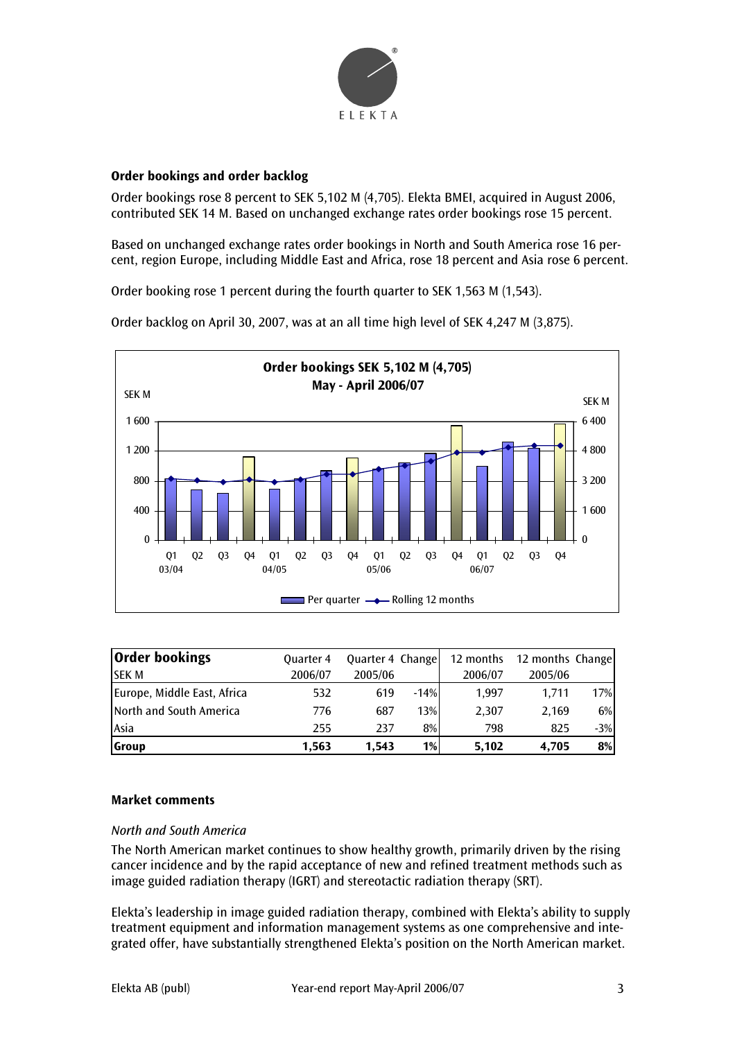

## **Order bookings and order backlog**

Order bookings rose 8 percent to SEK 5,102 M (4,705). Elekta BMEI, acquired in August 2006, contributed SEK 14 M. Based on unchanged exchange rates order bookings rose 15 percent.

Based on unchanged exchange rates order bookings in North and South America rose 16 percent, region Europe, including Middle East and Africa, rose 18 percent and Asia rose 6 percent.

Order booking rose 1 percent during the fourth quarter to SEK 1,563 M (1,543).

Order backlog on April 30, 2007, was at an all time high level of SEK 4,247 M (3,875).



| Order bookings              | <b>Quarter 4</b> | Quarter 4 Change |        | 12 months | 12 months Change |       |
|-----------------------------|------------------|------------------|--------|-----------|------------------|-------|
| <b>ISEK M</b>               | 2006/07          | 2005/06          |        | 2006/07   | 2005/06          |       |
| Europe, Middle East, Africa | 532              | 619              | $-14%$ | 1.997     | 1.711            | 17%   |
| North and South America     | 776              | 687              | 13%    | 2.307     | 2.169            | 6%    |
| Asia                        | 255              | 237              | 8%     | 798       | 825              | $-3%$ |
| <b>Group</b>                | 1,563            | 1,543            | $1\%$  | 5,102     | 4,705            | 8%    |

## **Market comments**

## *North and South America*

The North American market continues to show healthy growth, primarily driven by the rising cancer incidence and by the rapid acceptance of new and refined treatment methods such as image guided radiation therapy (IGRT) and stereotactic radiation therapy (SRT).

Elekta's leadership in image guided radiation therapy, combined with Elekta's ability to supply treatment equipment and information management systems as one comprehensive and integrated offer, have substantially strengthened Elekta's position on the North American market.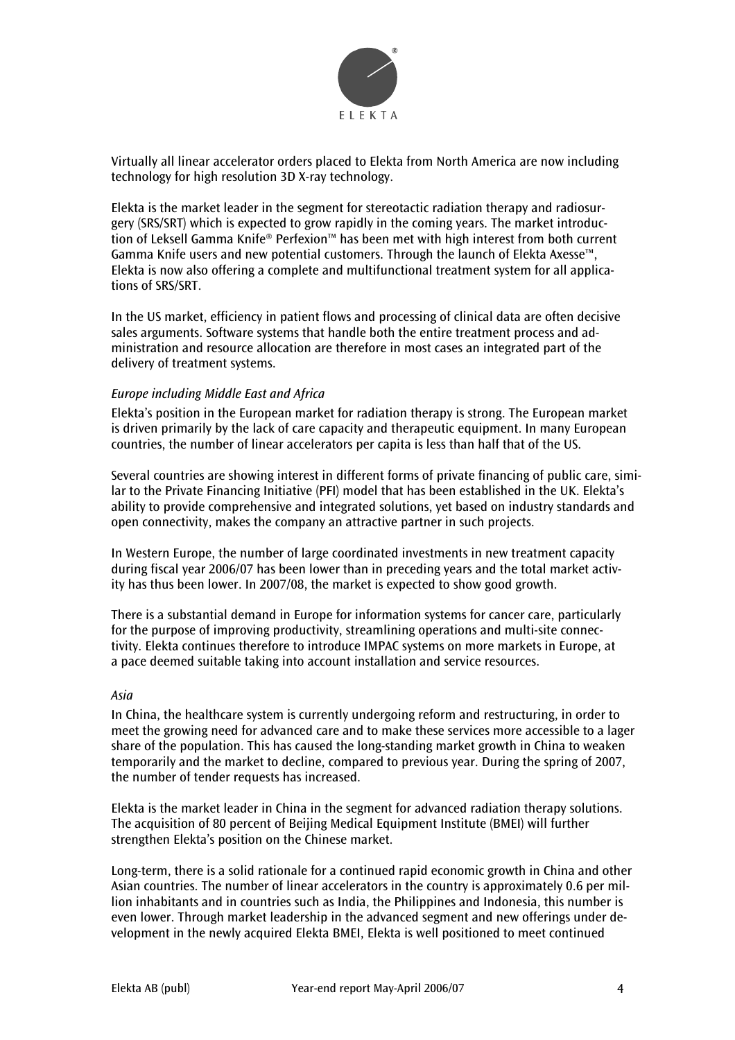

Virtually all linear accelerator orders placed to Elekta from North America are now including technology for high resolution 3D X-ray technology.

Elekta is the market leader in the segment for stereotactic radiation therapy and radiosurgery (SRS/SRT) which is expected to grow rapidly in the coming years. The market introduction of Leksell Gamma Knife® Perfexion™ has been met with high interest from both current Gamma Knife users and new potential customers. Through the launch of Elekta Axesse™, Elekta is now also offering a complete and multifunctional treatment system for all applications of SRS/SRT.

In the US market, efficiency in patient flows and processing of clinical data are often decisive sales arguments. Software systems that handle both the entire treatment process and administration and resource allocation are therefore in most cases an integrated part of the delivery of treatment systems.

## *Europe including Middle East and Africa*

Elekta's position in the European market for radiation therapy is strong. The European market is driven primarily by the lack of care capacity and therapeutic equipment. In many European countries, the number of linear accelerators per capita is less than half that of the US.

Several countries are showing interest in different forms of private financing of public care, similar to the Private Financing Initiative (PFI) model that has been established in the UK. Elekta's ability to provide comprehensive and integrated solutions, yet based on industry standards and open connectivity, makes the company an attractive partner in such projects.

In Western Europe, the number of large coordinated investments in new treatment capacity during fiscal year 2006/07 has been lower than in preceding years and the total market activity has thus been lower. In 2007/08, the market is expected to show good growth.

There is a substantial demand in Europe for information systems for cancer care, particularly for the purpose of improving productivity, streamlining operations and multi-site connectivity. Elekta continues therefore to introduce IMPAC systems on more markets in Europe, at a pace deemed suitable taking into account installation and service resources.

#### *Asia*

In China, the healthcare system is currently undergoing reform and restructuring, in order to meet the growing need for advanced care and to make these services more accessible to a lager share of the population. This has caused the long-standing market growth in China to weaken temporarily and the market to decline, compared to previous year. During the spring of 2007, the number of tender requests has increased.

Elekta is the market leader in China in the segment for advanced radiation therapy solutions. The acquisition of 80 percent of Beijing Medical Equipment Institute (BMEI) will further strengthen Elekta's position on the Chinese market.

Long-term, there is a solid rationale for a continued rapid economic growth in China and other Asian countries. The number of linear accelerators in the country is approximately 0.6 per million inhabitants and in countries such as India, the Philippines and Indonesia, this number is even lower. Through market leadership in the advanced segment and new offerings under development in the newly acquired Elekta BMEI, Elekta is well positioned to meet continued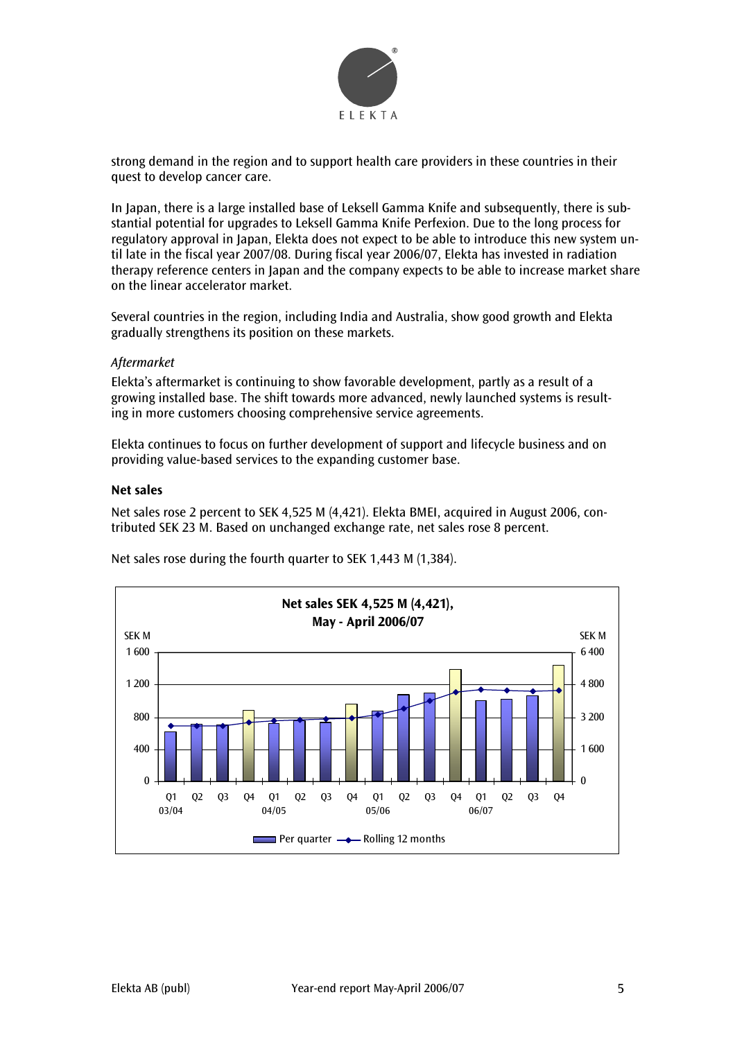

strong demand in the region and to support health care providers in these countries in their quest to develop cancer care.

In Japan, there is a large installed base of Leksell Gamma Knife and subsequently, there is substantial potential for upgrades to Leksell Gamma Knife Perfexion. Due to the long process for regulatory approval in Japan, Elekta does not expect to be able to introduce this new system until late in the fiscal year 2007/08. During fiscal year 2006/07, Elekta has invested in radiation therapy reference centers in Japan and the company expects to be able to increase market share on the linear accelerator market.

Several countries in the region, including India and Australia, show good growth and Elekta gradually strengthens its position on these markets.

## *Aftermarket*

Elekta's aftermarket is continuing to show favorable development, partly as a result of a growing installed base. The shift towards more advanced, newly launched systems is resulting in more customers choosing comprehensive service agreements.

Elekta continues to focus on further development of support and lifecycle business and on providing value-based services to the expanding customer base.

## **Net sales**

Net sales rose 2 percent to SEK 4,525 M (4,421). Elekta BMEI, acquired in August 2006, contributed SEK 23 M. Based on unchanged exchange rate, net sales rose 8 percent.

Net sales rose during the fourth quarter to SEK 1,443 M (1,384).

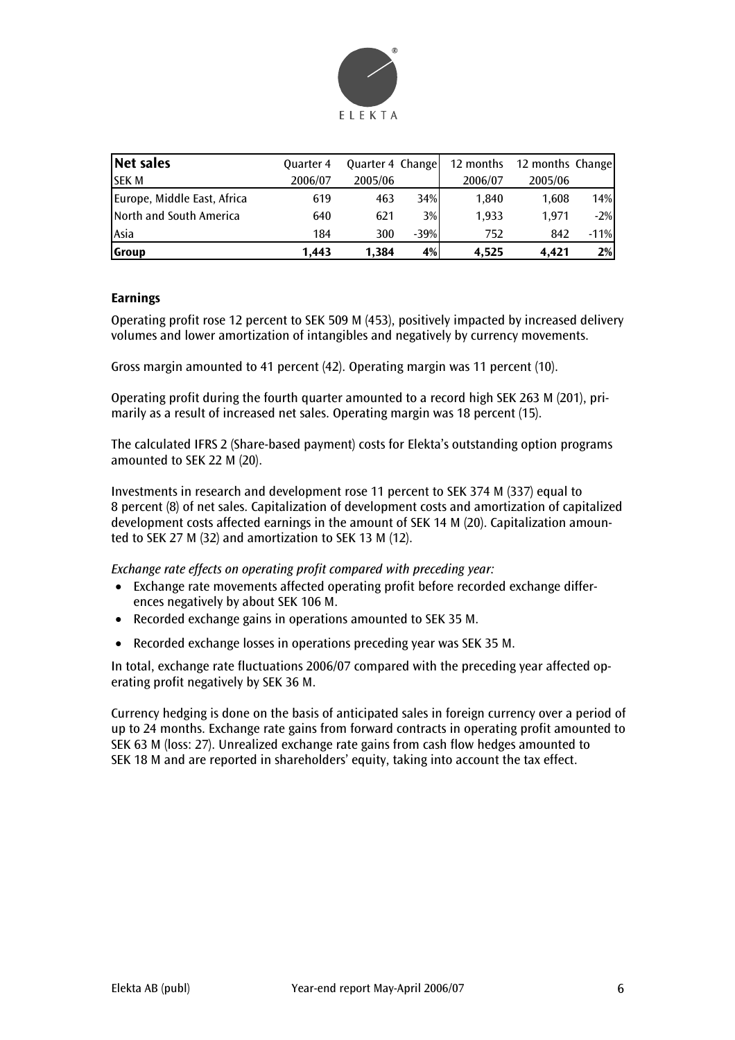

| Net sales                   | <b>Quarter 4</b> | Quarter 4 Change |        | 12 months | 12 months Change |        |
|-----------------------------|------------------|------------------|--------|-----------|------------------|--------|
| <b>SEKM</b>                 | 2006/07          | 2005/06          |        | 2006/07   | 2005/06          |        |
| Europe, Middle East, Africa | 619              | 463              | 34%    | 1.840     | 1.608            | 14%    |
| North and South America     | 640              | 621              | 3%     | 1.933     | 1.971            | $-2\%$ |
| Asia                        | 184              | 300              | $-39%$ | 752       | 842              | $-11%$ |
| Group                       | 1.443            | 1.384            | 4%     | 4.525     | 4.421            | 2%     |

## **Earnings**

Operating profit rose 12 percent to SEK 509 M (453), positively impacted by increased delivery volumes and lower amortization of intangibles and negatively by currency movements.

Gross margin amounted to 41 percent (42). Operating margin was 11 percent (10).

Operating profit during the fourth quarter amounted to a record high SEK 263 M (201), primarily as a result of increased net sales. Operating margin was 18 percent (15).

The calculated IFRS 2 (Share-based payment) costs for Elekta's outstanding option programs amounted to SEK 22 M (20).

Investments in research and development rose 11 percent to SEK 374 M (337) equal to 8 percent (8) of net sales. Capitalization of development costs and amortization of capitalized development costs affected earnings in the amount of SEK 14 M (20). Capitalization amounted to SEK 27 M (32) and amortization to SEK 13 M (12).

*Exchange rate effects on operating profit compared with preceding year:* 

- Exchange rate movements affected operating profit before recorded exchange differences negatively by about SEK 106 M.
- Recorded exchange gains in operations amounted to SEK 35 M.
- Recorded exchange losses in operations preceding year was SEK 35 M.

In total, exchange rate fluctuations 2006/07 compared with the preceding year affected operating profit negatively by SEK 36 M.

Currency hedging is done on the basis of anticipated sales in foreign currency over a period of up to 24 months. Exchange rate gains from forward contracts in operating profit amounted to SEK 63 M (loss: 27). Unrealized exchange rate gains from cash flow hedges amounted to SEK 18 M and are reported in shareholders' equity, taking into account the tax effect.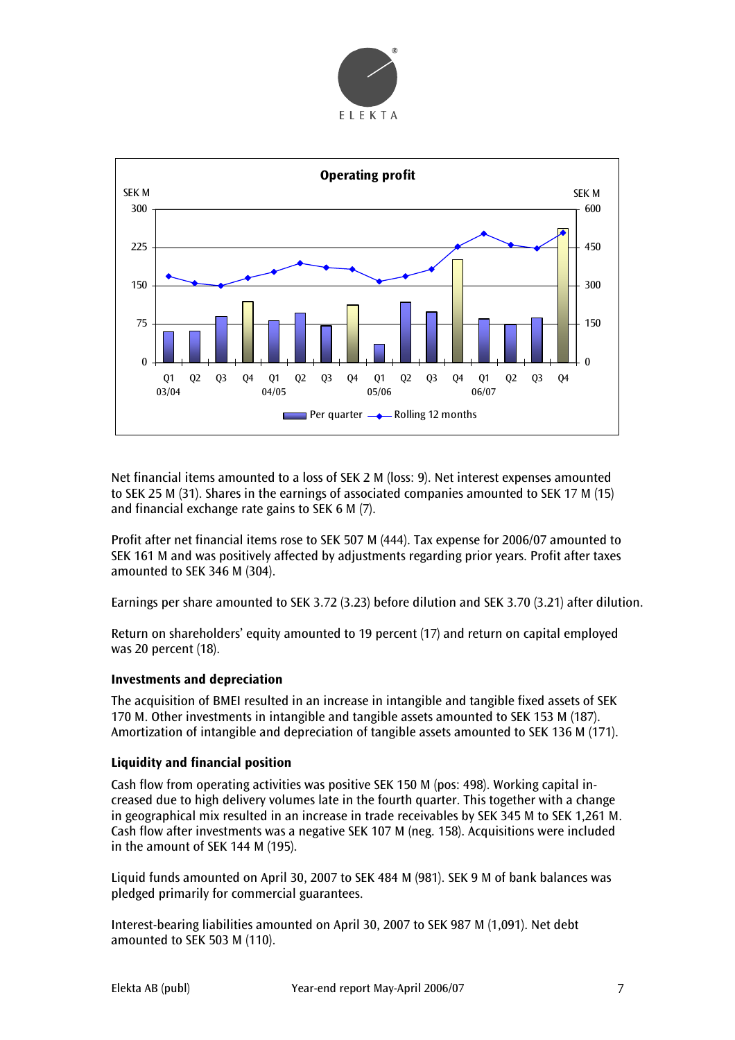



Net financial items amounted to a loss of SEK 2 M (loss: 9). Net interest expenses amounted to SEK 25 M (31). Shares in the earnings of associated companies amounted to SEK 17 M (15) and financial exchange rate gains to SEK 6 M (7).

Profit after net financial items rose to SEK 507 M (444). Tax expense for 2006/07 amounted to SEK 161 M and was positively affected by adjustments regarding prior years. Profit after taxes amounted to SEK 346 M (304).

Earnings per share amounted to SEK 3.72 (3.23) before dilution and SEK 3.70 (3.21) after dilution.

Return on shareholders' equity amounted to 19 percent (17) and return on capital employed was 20 percent (18).

## **Investments and depreciation**

The acquisition of BMEI resulted in an increase in intangible and tangible fixed assets of SEK 170 M. Other investments in intangible and tangible assets amounted to SEK 153 M (187). Amortization of intangible and depreciation of tangible assets amounted to SEK 136 M (171).

## **Liquidity and financial position**

Cash flow from operating activities was positive SEK 150 M (pos: 498). Working capital increased due to high delivery volumes late in the fourth quarter. This together with a change in geographical mix resulted in an increase in trade receivables by SEK 345 M to SEK 1,261 M. Cash flow after investments was a negative SEK 107 M (neg. 158). Acquisitions were included in the amount of SEK 144 M (195).

Liquid funds amounted on April 30, 2007 to SEK 484 M (981). SEK 9 M of bank balances was pledged primarily for commercial guarantees.

Interest-bearing liabilities amounted on April 30, 2007 to SEK 987 M (1,091). Net debt amounted to SEK 503 M (110).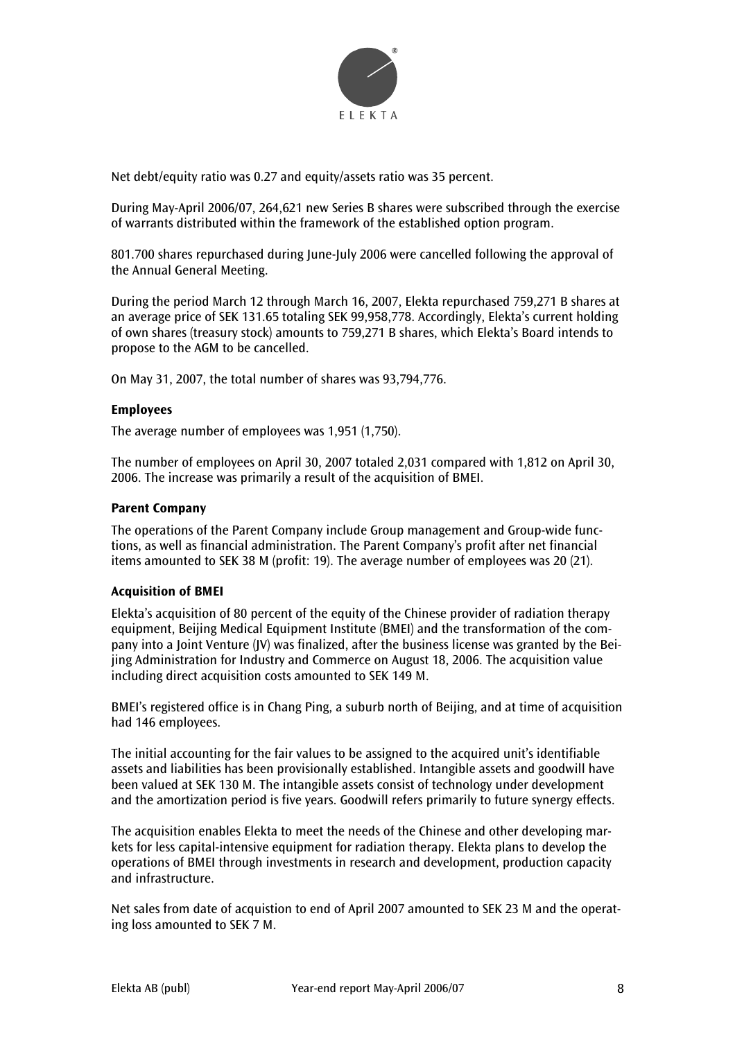

Net debt/equity ratio was 0.27 and equity/assets ratio was 35 percent.

During May-April 2006/07, 264,621 new Series B shares were subscribed through the exercise of warrants distributed within the framework of the established option program.

801.700 shares repurchased during June-July 2006 were cancelled following the approval of the Annual General Meeting.

During the period March 12 through March 16, 2007, Elekta repurchased 759,271 B shares at an average price of SEK 131.65 totaling SEK 99,958,778. Accordingly, Elekta's current holding of own shares (treasury stock) amounts to 759,271 B shares, which Elekta's Board intends to propose to the AGM to be cancelled.

On May 31, 2007, the total number of shares was 93,794,776.

## **Employees**

The average number of employees was 1,951 (1,750).

The number of employees on April 30, 2007 totaled 2,031 compared with 1,812 on April 30, 2006. The increase was primarily a result of the acquisition of BMEI.

#### **Parent Company**

The operations of the Parent Company include Group management and Group-wide functions, as well as financial administration. The Parent Company's profit after net financial items amounted to SEK 38 M (profit: 19). The average number of employees was 20 (21).

## **Acquisition of BMEI**

Elekta's acquisition of 80 percent of the equity of the Chinese provider of radiation therapy equipment, Beijing Medical Equipment Institute (BMEI) and the transformation of the company into a Joint Venture (JV) was finalized, after the business license was granted by the Beijing Administration for Industry and Commerce on August 18, 2006. The acquisition value including direct acquisition costs amounted to SEK 149 M.

BMEI's registered office is in Chang Ping, a suburb north of Beijing, and at time of acquisition had 146 employees.

The initial accounting for the fair values to be assigned to the acquired unit's identifiable assets and liabilities has been provisionally established. Intangible assets and goodwill have been valued at SEK 130 M. The intangible assets consist of technology under development and the amortization period is five years. Goodwill refers primarily to future synergy effects.

The acquisition enables Elekta to meet the needs of the Chinese and other developing markets for less capital-intensive equipment for radiation therapy. Elekta plans to develop the operations of BMEI through investments in research and development, production capacity and infrastructure.

Net sales from date of acquistion to end of April 2007 amounted to SEK 23 M and the operating loss amounted to SEK 7 M.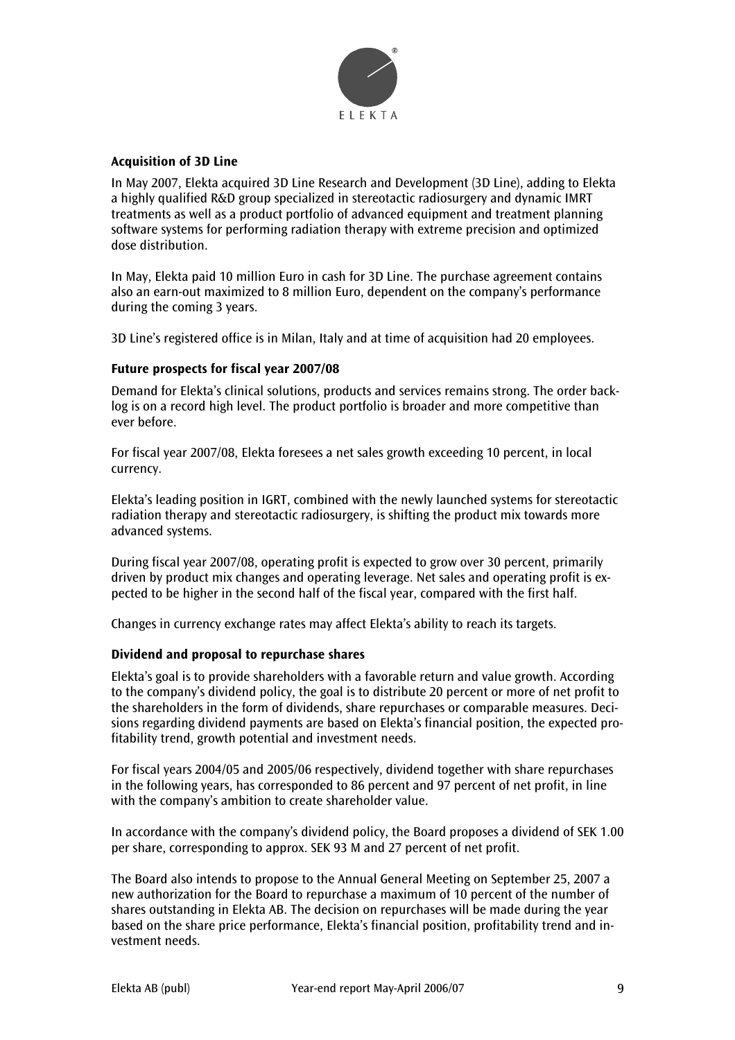

## **Acquisition of 3D Line**

In May 2007, Elekta acquired 3D Line Research and Development (3D Line), adding to Elekta a highly qualified R&D group specialized in stereotactic radiosurgery and dynamic IMRT treatments as well as a product portfolio of advanced equipment and treatment planning software systems for performing radiation therapy with extreme precision and optimized dose distribution.

In May, Elekta paid 10 million Euro in cash for 3D Line. The purchase agreement contains also an earn-out maximized to 8 million Euro, dependent on the company's performance during the coming 3 years.

3D Line's registered office is in Milan, Italy and at time of acquisition had 20 employees.

## **Future prospects for fiscal year 2007/08**

Demand for Elekta's clinical solutions, products and services remains strong. The order backlog is on a record high level. The product portfolio is broader and more competitive than ever before.

For fiscal year 2007/08, Elekta foresees a net sales growth exceeding 10 percent, in local currency.

Elekta's leading position in IGRT, combined with the newly launched systems for stereotactic radiation therapy and stereotactic radiosurgery, is shifting the product mix towards more advanced systems.

During fiscal year 2007/08, operating profit is expected to grow over 30 percent, primarily driven by product mix changes and operating leverage. Net sales and operating profit is expected to be higher in the second half of the fiscal year, compared with the first half.

Changes in currency exchange rates may affect Elekta's ability to reach its targets.

## **Dividend and proposal to repurchase shares**

Elekta's goal is to provide shareholders with a favorable return and value growth. According to the company's dividend policy, the goal is to distribute 20 percent or more of net profit to the shareholders in the form of dividends, share repurchases or comparable measures. Decisions regarding dividend payments are based on Elekta's financial position, the expected profitability trend, growth potential and investment needs.

For fiscal years 2004/05 and 2005/06 respectively, dividend together with share repurchases in the following years, has corresponded to 86 percent and 97 percent of net profit, in line with the company's ambition to create shareholder value.

In accordance with the company's dividend policy, the Board proposes a dividend of SEK 1.00 per share, corresponding to approx. SEK 93 M and 27 percent of net profit.

The Board also intends to propose to the Annual General Meeting on September 25, 2007 a new authorization for the Board to repurchase a maximum of 10 percent of the number of shares outstanding in Elekta AB. The decision on repurchases will be made during the year based on the share price performance, Elekta's financial position, profitability trend and investment needs.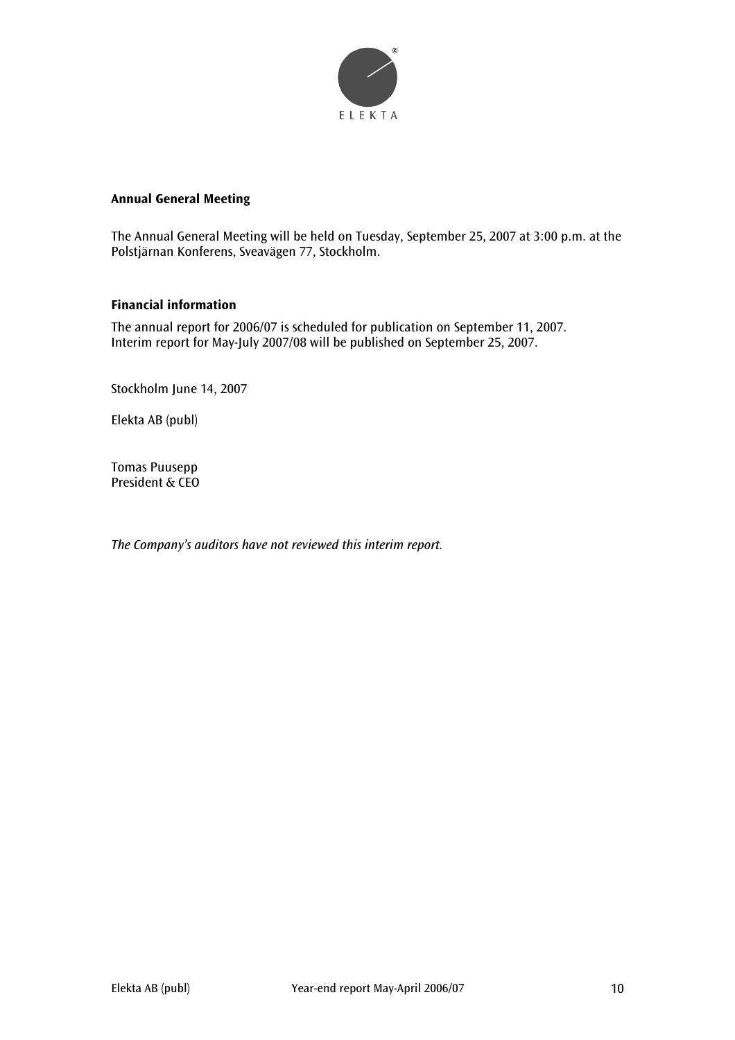

## **Annual General Meeting**

The Annual General Meeting will be held on Tuesday, September 25, 2007 at 3:00 p.m. at the Polstjärnan Konferens, Sveavägen 77, Stockholm.

## **Financial information**

The annual report for 2006/07 is scheduled for publication on September 11, 2007. Interim report for May-July 2007/08 will be published on September 25, 2007.

Stockholm June 14, 2007

Elekta AB (publ)

Tomas Puusepp President & CEO

*The Company's auditors have not reviewed this interim report.*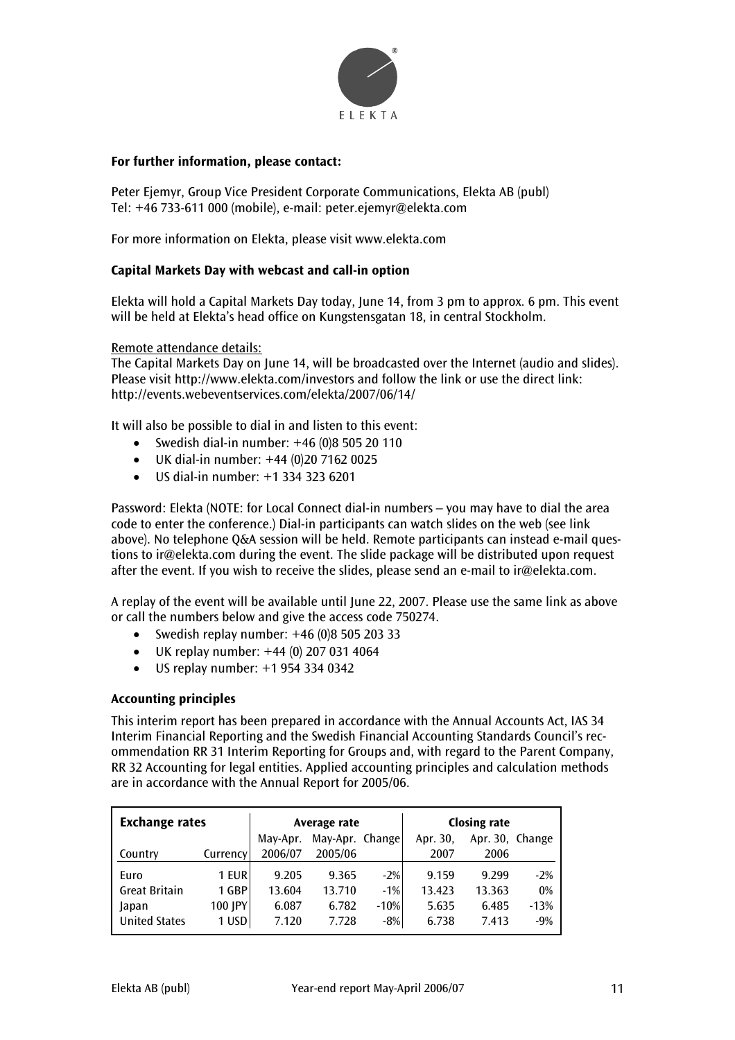

## **For further information, please contact:**

Peter Ejemyr, Group Vice President Corporate Communications, Elekta AB (publ) Tel: +46 733-611 000 (mobile), e-mail: peter.ejemyr@elekta.com

For more information on Elekta, please visit www.elekta.com

## **Capital Markets Day with webcast and call-in option**

Elekta will hold a Capital Markets Day today, June 14, from 3 pm to approx. 6 pm. This event will be held at Elekta's head office on Kungstensgatan 18, in central Stockholm.

Remote attendance details:

The Capital Markets Day on June 14, will be broadcasted over the Internet (audio and slides). Please visit http://www.elekta.com/investors and follow the link or use the direct link: http://events.webeventservices.com/elekta/2007/06/14/

It will also be possible to dial in and listen to this event:

- Swedish dial-in number: +46 (0)8 505 20 110
- UK dial-in number: +44 (0)20 7162 0025
- US dial-in number: +1 334 323 6201

Password: Elekta (NOTE: for Local Connect dial-in numbers – you may have to dial the area code to enter the conference.) Dial-in participants can watch slides on the web (see link above). No telephone Q&A session will be held. Remote participants can instead e-mail questions to ir@elekta.com during the event. The slide package will be distributed upon request after the event. If you wish to receive the slides, please send an e-mail to ir@elekta.com.

A replay of the event will be available until June 22, 2007. Please use the same link as above or call the numbers below and give the access code 750274.

- Swedish replay number:  $+46(0)850520333$
- UK replay number: +44 (0) 207 031 4064
- US replay number: +1 954 334 0342

## **Accounting principles**

This interim report has been prepared in accordance with the Annual Accounts Act, IAS 34 Interim Financial Reporting and the Swedish Financial Accounting Standards Council's recommendation RR 31 Interim Reporting for Groups and, with regard to the Parent Company, RR 32 Accounting for legal entities. Applied accounting principles and calculation methods are in accordance with the Annual Report for 2005/06.

| <b>Exchange rates</b> |          | Average rate |                 |        | <b>Closing rate</b> |                 |        |
|-----------------------|----------|--------------|-----------------|--------|---------------------|-----------------|--------|
|                       |          | May-Apr.     | May-Apr. Change |        | Apr. 30,            | Apr. 30, Change |        |
| Country               | Currency | 2006/07      | 2005/06         |        | 2007                | 2006            |        |
| Euro                  | 1 EUR    | 9.205        | 9.365           | $-2%$  | 9.159               | 9.299           | $-2%$  |
| <b>Great Britain</b>  | 1 GBP    | 13.604       | 13.710          | $-1%$  | 13.423              | 13.363          | 0%     |
| Japan                 | 100 JPY  | 6.087        | 6.782           | $-10%$ | 5.635               | 6.485           | $-13%$ |
| <b>United States</b>  | 1 USD    | 7.120        | 7.728           | $-8%$  | 6.738               | 7.413           | $-9%$  |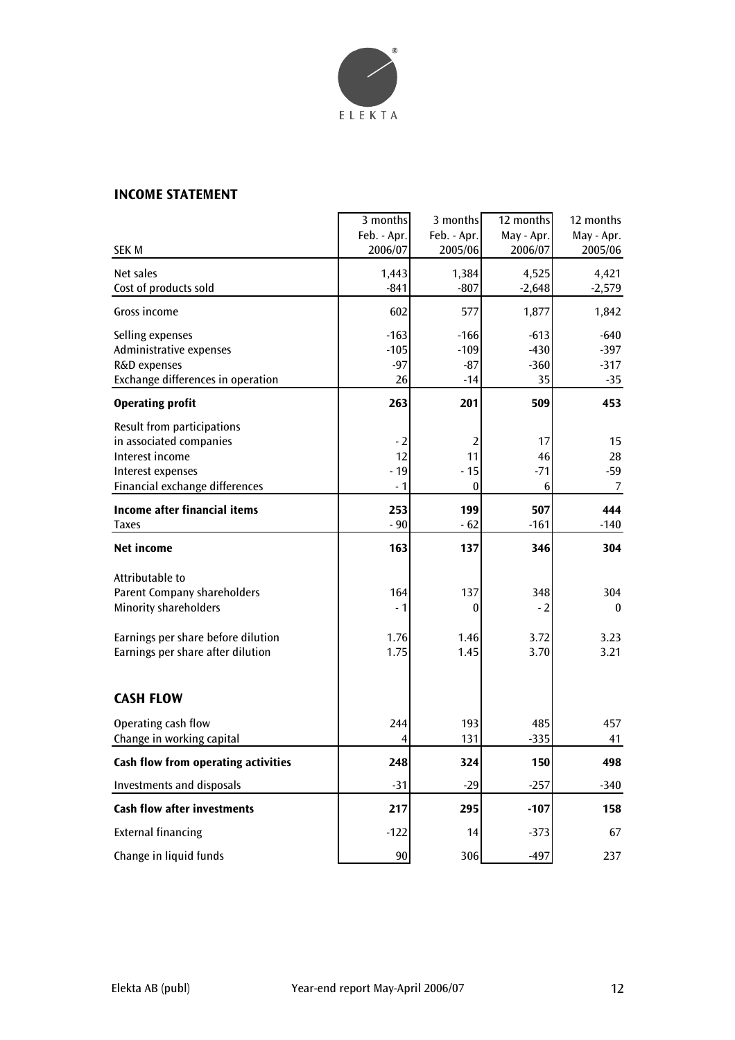

## **INCOME STATEMENT**

|                                                                                                                                                                  | 3 months<br>Feb. - Apr.         | 3 months<br>Feb. - Apr.            | 12 months<br>May - Apr.          | 12 months<br>May - Apr.             |
|------------------------------------------------------------------------------------------------------------------------------------------------------------------|---------------------------------|------------------------------------|----------------------------------|-------------------------------------|
| <b>SEK M</b>                                                                                                                                                     | 2006/07                         | 2005/06                            | 2006/07                          | 2005/06                             |
| Net sales<br>Cost of products sold                                                                                                                               | 1,443<br>$-841$                 | 1,384<br>$-807$                    | 4,525<br>$-2,648$                | 4,421<br>$-2,579$                   |
| Gross income                                                                                                                                                     | 602                             | 577                                | 1,877                            | 1,842                               |
| Selling expenses<br>Administrative expenses<br>R&D expenses<br>Exchange differences in operation                                                                 | $-163$<br>$-105$<br>$-97$<br>26 | $-166$<br>$-109$<br>$-87$<br>$-14$ | $-613$<br>$-430$<br>$-360$<br>35 | $-640$<br>$-397$<br>$-317$<br>$-35$ |
| <b>Operating profit</b>                                                                                                                                          | 263                             | 201                                | 509                              | 453                                 |
| Result from participations<br>in associated companies<br>Interest income<br>Interest expenses<br>Financial exchange differences                                  | $-2$<br>12<br>$-19$<br>- 1      | 2<br>11<br>- 15<br>0               | 17<br>46<br>$-71$<br>6           | 15<br>28<br>$-59$<br>7              |
| <b>Income after financial items</b><br>Taxes                                                                                                                     | 253<br>$-90$                    | 199<br>$-62$                       | 507<br>$-161$                    | 444<br>$-140$                       |
| <b>Net income</b>                                                                                                                                                | 163                             | 137                                | 346                              | 304                                 |
| Attributable to<br><b>Parent Company shareholders</b><br><b>Minority shareholders</b><br>Earnings per share before dilution<br>Earnings per share after dilution | 164<br>- 1<br>1.76<br>1.75      | 137<br>0<br>1.46<br>1.45           | 348<br>- 2<br>3.72<br>3.70       | 304<br>$\bf{0}$<br>3.23<br>3.21     |
| <b>CASH FLOW</b>                                                                                                                                                 |                                 |                                    |                                  |                                     |
| Operating cash flow<br>Change in working capital                                                                                                                 | 244<br>4                        | 193<br>131                         | 485<br>$-335$                    | 457<br>41                           |
| Cash flow from operating activities                                                                                                                              | 248                             | 324                                | 150                              | 498                                 |
| <b>Investments and disposals</b>                                                                                                                                 | $-31$                           | $-29$                              | $-257$                           | $-340$                              |
| <b>Cash flow after investments</b>                                                                                                                               | 217                             | 295                                | $-107$                           | 158                                 |
| <b>External financing</b>                                                                                                                                        | $-122$                          | 14                                 | $-373$                           | 67                                  |
| Change in liquid funds                                                                                                                                           | $90\,$                          | 306                                | $-497$                           | 237                                 |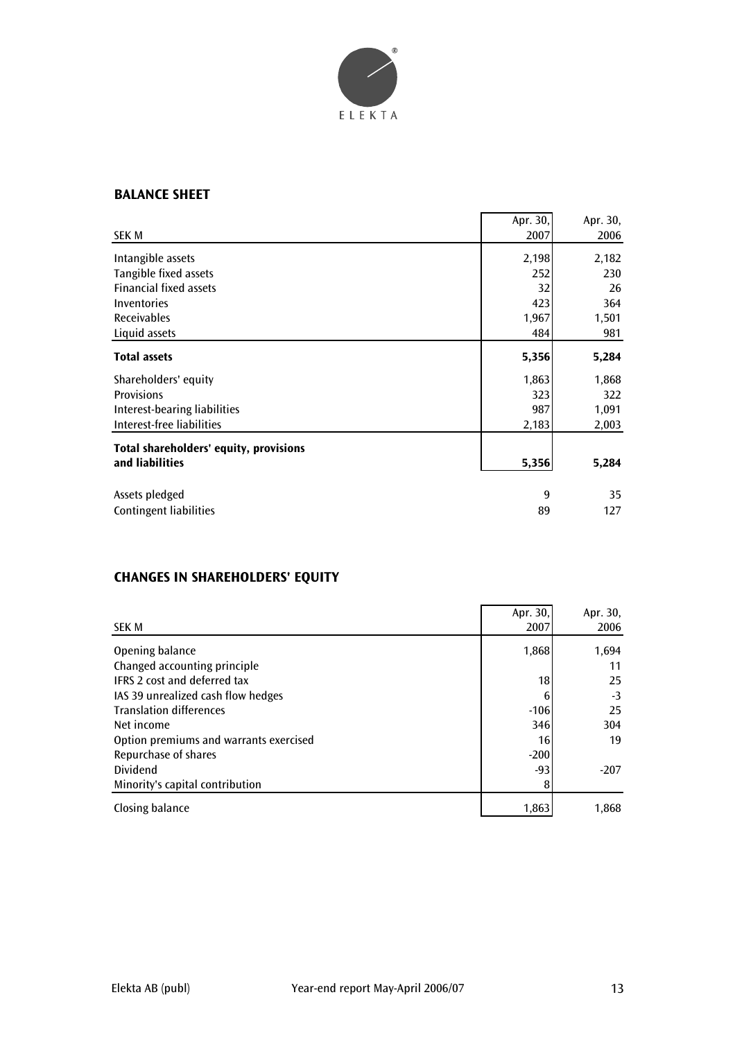

## **BALANCE SHEET**

|                                        | Apr. 30, | Apr. 30, |
|----------------------------------------|----------|----------|
| SEK M                                  | 2007     | 2006     |
| Intangible assets                      | 2,198    | 2,182    |
| Tangible fixed assets                  | 252      | 230      |
| <b>Financial fixed assets</b>          | 32       | 26       |
| Inventories                            | 423      | 364      |
| <b>Receivables</b>                     | 1,967    | 1,501    |
| Liquid assets                          | 484      | 981      |
| <b>Total assets</b>                    | 5,356    | 5,284    |
| Shareholders' equity                   | 1,863    | 1,868    |
| <b>Provisions</b>                      | 323      | 322      |
| Interest-bearing liabilities           | 987      | 1,091    |
| Interest-free liabilities              | 2,183    | 2,003    |
| Total shareholders' equity, provisions |          |          |
| and liabilities                        | 5,356    | 5,284    |
| Assets pledged                         | 9        | 35       |
| <b>Contingent liabilities</b>          | 89       | 127      |

# **CHANGES IN SHAREHOLDERS' EQUITY**

|                                        | Apr. 30, | Apr. 30, |
|----------------------------------------|----------|----------|
| <b>SEK M</b>                           | 2007     | 2006     |
| Opening balance                        | 1,868    | 1,694    |
| Changed accounting principle           |          | 11       |
| <b>IFRS 2 cost and deferred tax</b>    | 18       | 25       |
| IAS 39 unrealized cash flow hedges     | 6        | $-3$     |
| <b>Translation differences</b>         | $-106$   | 25       |
| Net income                             | 346      | 304      |
| Option premiums and warrants exercised | 16       | 19       |
| Repurchase of shares                   | $-200$   |          |
| Dividend                               | $-93$    | $-207$   |
| Minority's capital contribution        |          |          |
| Closing balance                        | 1,863    | 1,868    |